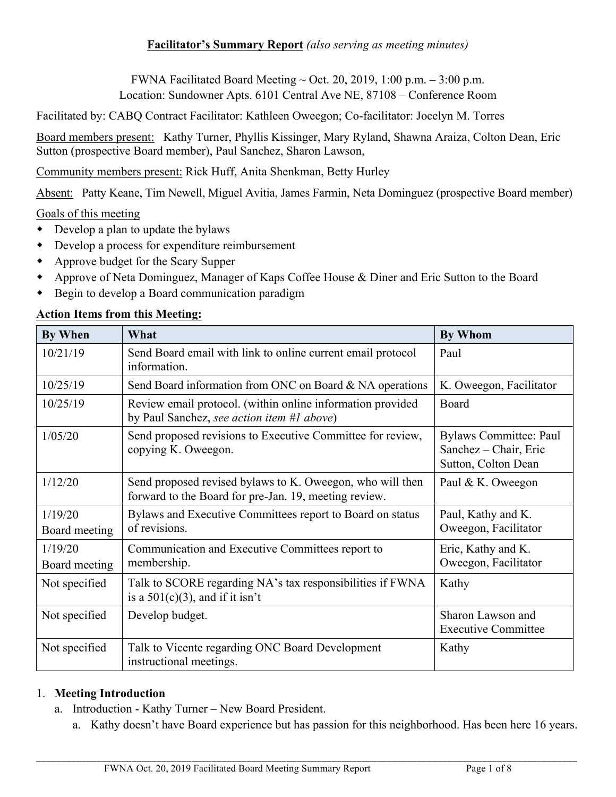FWNA Facilitated Board Meeting  $\sim$  Oct. 20, 2019, 1:00 p.m.  $-3:00$  p.m. Location: Sundowner Apts. 6101 Central Ave NE, 87108 – Conference Room

Facilitated by: CABQ Contract Facilitator: Kathleen Oweegon; Co-facilitator: Jocelyn M. Torres

Board members present: Kathy Turner, Phyllis Kissinger, Mary Ryland, Shawna Araiza, Colton Dean, Eric Sutton (prospective Board member), Paul Sanchez, Sharon Lawson,

Community members present: Rick Huff, Anita Shenkman, Betty Hurley

Absent: Patty Keane, Tim Newell, Miguel Avitia, James Farmin, Neta Dominguez (prospective Board member)

### Goals of this meeting

- $\bullet$  Develop a plan to update the bylaws
- $\bullet$  Develop a process for expenditure reimbursement
- Approve budget for the Scary Supper
- w Approve of Neta Dominguez, Manager of Kaps Coffee House & Diner and Eric Sutton to the Board
- Begin to develop a Board communication paradigm

#### **Action Items from this Meeting:**

| <b>By When</b>           | What                                                                                                               | <b>By Whom</b>                                                                |
|--------------------------|--------------------------------------------------------------------------------------------------------------------|-------------------------------------------------------------------------------|
| 10/21/19                 | Send Board email with link to online current email protocol<br>information.                                        | Paul                                                                          |
| 10/25/19                 | Send Board information from ONC on Board & NA operations                                                           | K. Oweegon, Facilitator                                                       |
| 10/25/19                 | Review email protocol. (within online information provided<br>by Paul Sanchez, see action item #1 above)           | Board                                                                         |
| 1/05/20                  | Send proposed revisions to Executive Committee for review,<br>copying K. Oweegon.                                  | <b>Bylaws Committee: Paul</b><br>Sanchez – Chair, Eric<br>Sutton, Colton Dean |
| 1/12/20                  | Send proposed revised bylaws to K. Oweegon, who will then<br>forward to the Board for pre-Jan. 19, meeting review. | Paul & K. Oweegon                                                             |
| 1/19/20<br>Board meeting | Bylaws and Executive Committees report to Board on status<br>of revisions.                                         | Paul, Kathy and K.<br>Oweegon, Facilitator                                    |
| 1/19/20<br>Board meeting | Communication and Executive Committees report to<br>membership.                                                    | Eric, Kathy and K.<br>Oweegon, Facilitator                                    |
| Not specified            | Talk to SCORE regarding NA's tax responsibilities if FWNA<br>is a $501(c)(3)$ , and if it isn't                    | Kathy                                                                         |
| Not specified            | Develop budget.                                                                                                    | Sharon Lawson and<br><b>Executive Committee</b>                               |
| Not specified            | Talk to Vicente regarding ONC Board Development<br>instructional meetings.                                         | Kathy                                                                         |

#### 1. **Meeting Introduction**

- a. Introduction Kathy Turner New Board President.
	- a. Kathy doesn't have Board experience but has passion for this neighborhood. Has been here 16 years.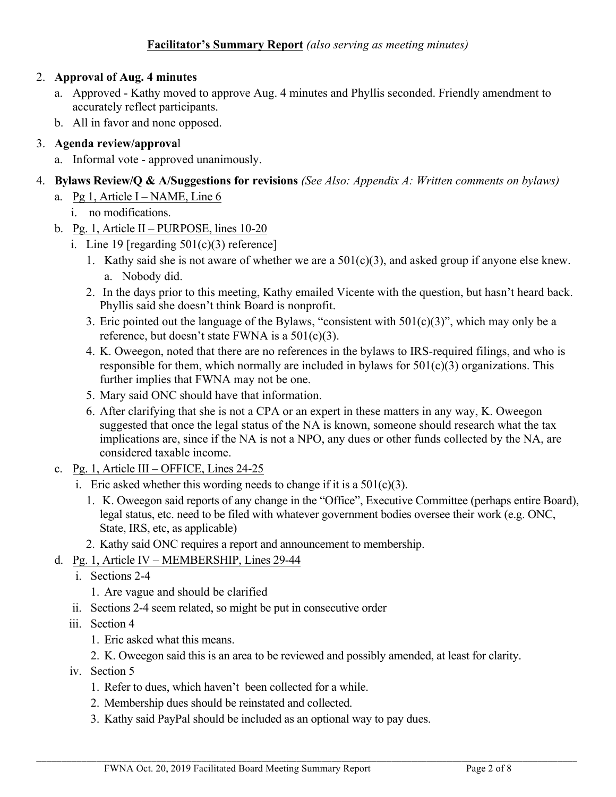# 2. **Approval of Aug. 4 minutes**

- a. Approved Kathy moved to approve Aug. 4 minutes and Phyllis seconded. Friendly amendment to accurately reflect participants.
- b. All in favor and none opposed.

# 3. **Agenda review/approva**l

- a. Informal vote approved unanimously.
- 4. **Bylaws Review/Q & A/Suggestions for revisions** *(See Also: Appendix A: Written comments on bylaws)*
	- a. Pg 1, Article I NAME, Line  $6$ 
		- i. no modifications.
	- b. Pg. 1, Article II PURPOSE, lines  $10-20$ 
		- i. Line 19 [regarding  $501(c)(3)$  reference]
			- 1. Kathy said she is not aware of whether we are a  $501(c)(3)$ , and asked group if anyone else knew. a. Nobody did.
			- 2. In the days prior to this meeting, Kathy emailed Vicente with the question, but hasn't heard back. Phyllis said she doesn't think Board is nonprofit.
			- 3. Eric pointed out the language of the Bylaws, "consistent with 501(c)(3)", which may only be a reference, but doesn't state FWNA is a  $501(c)(3)$ .
			- 4. K. Oweegon, noted that there are no references in the bylaws to IRS-required filings, and who is responsible for them, which normally are included in bylaws for  $501(c)(3)$  organizations. This further implies that FWNA may not be one.
			- 5. Mary said ONC should have that information.
			- 6. After clarifying that she is not a CPA or an expert in these matters in any way, K. Oweegon suggested that once the legal status of the NA is known, someone should research what the tax implications are, since if the NA is not a NPO, any dues or other funds collected by the NA, are considered taxable income.
	- c. Pg. 1, Article III OFFICE, Lines 24-25
		- i. Eric asked whether this wording needs to change if it is a  $501(c)(3)$ .
			- 1. K. Oweegon said reports of any change in the "Office", Executive Committee (perhaps entire Board), legal status, etc. need to be filed with whatever government bodies oversee their work (e.g. ONC, State, IRS, etc, as applicable)
		- 2. Kathy said ONC requires a report and announcement to membership.

# d. Pg. 1, Article IV – MEMBERSHIP, Lines 29-44

- i. Sections 2-4
	- 1. Are vague and should be clarified
- ii. Sections 2-4 seem related, so might be put in consecutive order
- iii. Section 4
	- 1. Eric asked what this means.
	- 2. K. Oweegon said this is an area to be reviewed and possibly amended, at least for clarity.
- iv. Section 5
	- 1. Refer to dues, which haven't been collected for a while.
	- 2. Membership dues should be reinstated and collected.
	- 3. Kathy said PayPal should be included as an optional way to pay dues.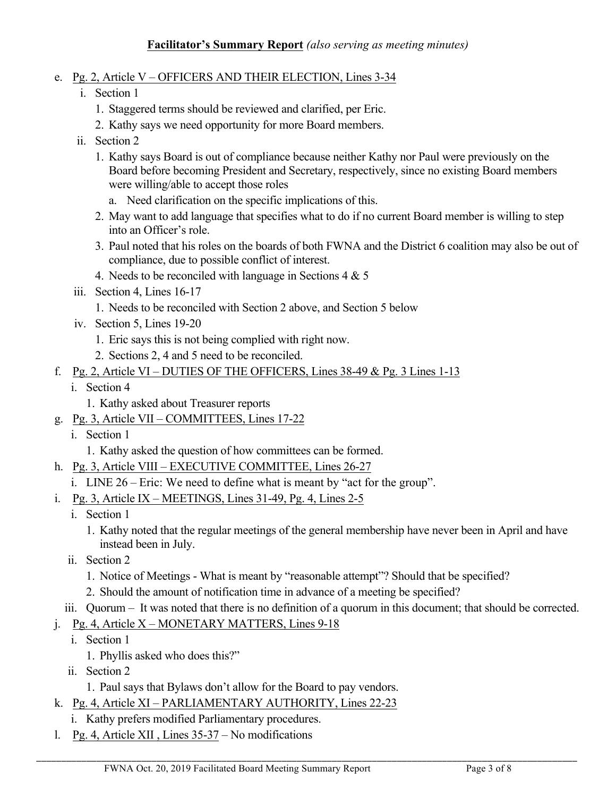- e. Pg. 2, Article V OFFICERS AND THEIR ELECTION, Lines 3-34
	- i. Section 1
		- 1. Staggered terms should be reviewed and clarified, per Eric.
		- 2. Kathy says we need opportunity for more Board members.
	- ii. Section 2
		- 1. Kathy says Board is out of compliance because neither Kathy nor Paul were previously on the Board before becoming President and Secretary, respectively, since no existing Board members were willing/able to accept those roles
			- a. Need clarification on the specific implications of this.
		- 2. May want to add language that specifies what to do if no current Board member is willing to step into an Officer's role.
		- 3. Paul noted that his roles on the boards of both FWNA and the District 6 coalition may also be out of compliance, due to possible conflict of interest.
		- 4. Needs to be reconciled with language in Sections  $4 \& 5$
	- iii. Section 4, Lines 16-17
		- 1. Needs to be reconciled with Section 2 above, and Section 5 below
	- iv. Section 5, Lines 19-20
		- 1. Eric says this is not being complied with right now.
		- 2. Sections 2, 4 and 5 need to be reconciled.
- f. Pg. 2, Article VI DUTIES OF THE OFFICERS, Lines  $38-49 \&$  Pg. 3 Lines 1-13
	- i. Section 4
		- 1. Kathy asked about Treasurer reports
- g. Pg. 3, Article VII COMMITTEES, Lines 17-22
	- i. Section 1
		- 1. Kathy asked the question of how committees can be formed.
- h. Pg. 3, Article VIII EXECUTIVE COMMITTEE, Lines 26-27
	- i. LINE 26 Eric: We need to define what is meant by "act for the group".
- i. Pg. 3, Article IX MEETINGS, Lines 31-49, Pg. 4, Lines 2-5
	- i. Section 1
		- 1. Kathy noted that the regular meetings of the general membership have never been in April and have instead been in July.
	- ii. Section 2
		- 1. Notice of Meetings What is meant by "reasonable attempt"? Should that be specified?
		- 2. Should the amount of notification time in advance of a meeting be specified?
- iii. Quorum It was noted that there is no definition of a quorum in this document; that should be corrected.

- j. Pg. 4, Article  $X$  MONETARY MATTERS, Lines 9-18
	- i. Section 1
		- 1. Phyllis asked who does this?"
	- ii. Section 2
		- 1. Paul says that Bylaws don't allow for the Board to pay vendors.
- k. Pg. 4, Article XI PARLIAMENTARY AUTHORITY, Lines 22-23
	- i. Kathy prefers modified Parliamentary procedures.
- l. Pg. 4, Article XII , Lines 35-37 No modifications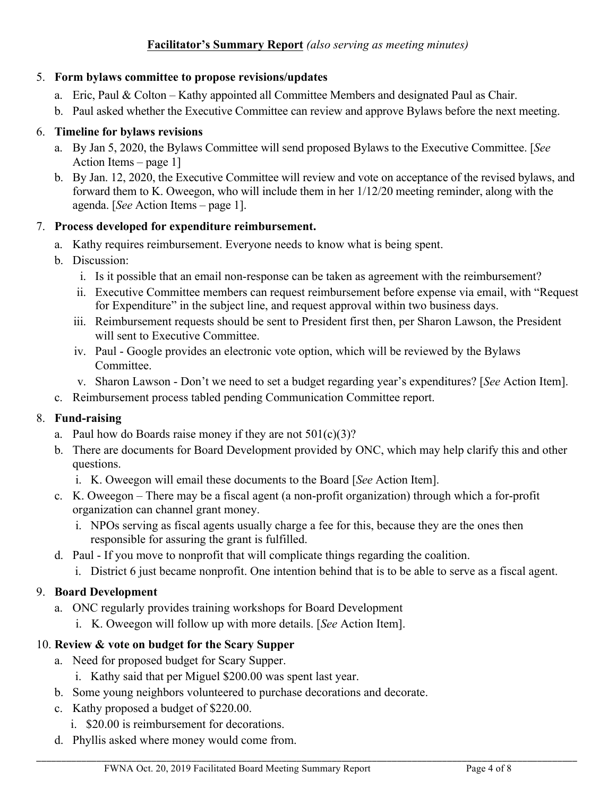## 5. **Form bylaws committee to propose revisions/updates**

- a. Eric, Paul & Colton Kathy appointed all Committee Members and designated Paul as Chair.
- b. Paul asked whether the Executive Committee can review and approve Bylaws before the next meeting.

# 6. **Timeline for bylaws revisions**

- a. By Jan 5, 2020, the Bylaws Committee will send proposed Bylaws to the Executive Committee. [*See* Action Items – page 1]
- b. By Jan. 12, 2020, the Executive Committee will review and vote on acceptance of the revised bylaws, and forward them to K. Oweegon, who will include them in her 1/12/20 meeting reminder, along with the agenda. [*See* Action Items – page 1].

## 7. **Process developed for expenditure reimbursement.**

- a. Kathy requires reimbursement. Everyone needs to know what is being spent.
- b. Discussion:
	- i. Is it possible that an email non-response can be taken as agreement with the reimbursement?
	- ii. Executive Committee members can request reimbursement before expense via email, with "Request for Expenditure" in the subject line, and request approval within two business days.
	- iii. Reimbursement requests should be sent to President first then, per Sharon Lawson, the President will sent to Executive Committee.
	- iv. Paul Google provides an electronic vote option, which will be reviewed by the Bylaws Committee.
	- v. Sharon Lawson Don't we need to set a budget regarding year's expenditures? [*See* Action Item].
- c. Reimbursement process tabled pending Communication Committee report.

# 8. **Fund-raising**

- a. Paul how do Boards raise money if they are not  $501(c)(3)$ ?
- b. There are documents for Board Development provided by ONC, which may help clarify this and other questions.
	- i. K. Oweegon will email these documents to the Board [*See* Action Item].
- c. K. Oweegon There may be a fiscal agent (a non-profit organization) through which a for-profit organization can channel grant money.
	- i. NPOs serving as fiscal agents usually charge a fee for this, because they are the ones then responsible for assuring the grant is fulfilled.
- d. Paul If you move to nonprofit that will complicate things regarding the coalition.
	- i. District 6 just became nonprofit. One intention behind that is to be able to serve as a fiscal agent.

\_\_\_\_\_\_\_\_\_\_\_\_\_\_\_\_\_\_\_\_\_\_\_\_\_\_\_\_\_\_\_\_\_\_\_\_\_\_\_\_\_\_\_\_\_\_\_\_\_\_\_\_\_\_\_\_\_\_\_\_\_\_\_\_\_\_\_\_\_\_\_\_\_\_\_\_\_\_\_\_\_\_\_\_\_\_\_\_\_\_\_\_\_\_\_\_\_\_\_\_\_\_\_\_\_\_\_\_

# 9. **Board Development**

- a. ONC regularly provides training workshops for Board Development
	- i. K. Oweegon will follow up with more details. [*See* Action Item].

# 10. **Review & vote on budget for the Scary Supper**

- a. Need for proposed budget for Scary Supper.
	- i. Kathy said that per Miguel \$200.00 was spent last year.
- b. Some young neighbors volunteered to purchase decorations and decorate.
- c. Kathy proposed a budget of \$220.00.
	- i. \$20.00 is reimbursement for decorations.
- d. Phyllis asked where money would come from.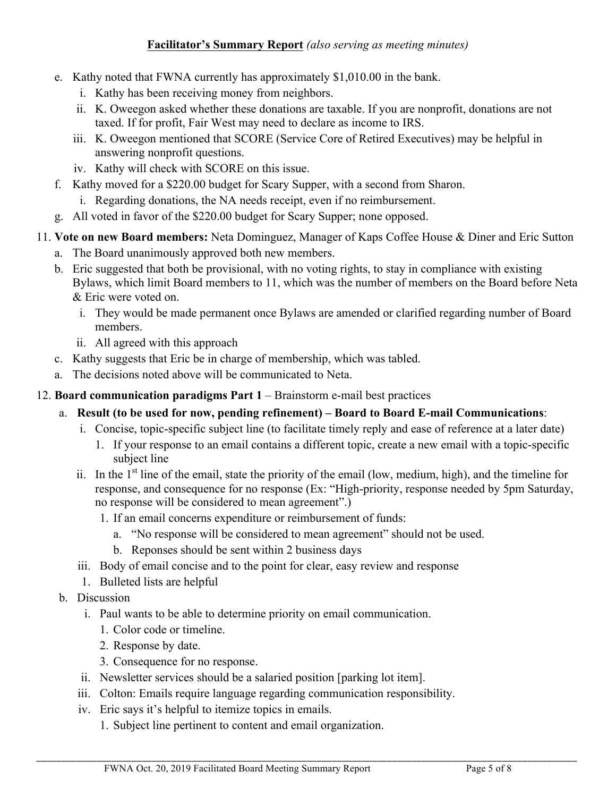- e. Kathy noted that FWNA currently has approximately \$1,010.00 in the bank.
	- i. Kathy has been receiving money from neighbors.
	- ii. K. Oweegon asked whether these donations are taxable. If you are nonprofit, donations are not taxed. If for profit, Fair West may need to declare as income to IRS.
	- iii. K. Oweegon mentioned that SCORE (Service Core of Retired Executives) may be helpful in answering nonprofit questions.
	- iv. Kathy will check with SCORE on this issue.
- f. Kathy moved for a \$220.00 budget for Scary Supper, with a second from Sharon.
	- i. Regarding donations, the NA needs receipt, even if no reimbursement.
- g. All voted in favor of the \$220.00 budget for Scary Supper; none opposed.
- 11. **Vote on new Board members:** Neta Dominguez, Manager of Kaps Coffee House & Diner and Eric Sutton
	- a. The Board unanimously approved both new members.
	- b. Eric suggested that both be provisional, with no voting rights, to stay in compliance with existing Bylaws, which limit Board members to 11, which was the number of members on the Board before Neta & Eric were voted on.
		- i. They would be made permanent once Bylaws are amended or clarified regarding number of Board members.
		- ii. All agreed with this approach
	- c. Kathy suggests that Eric be in charge of membership, which was tabled.
	- a. The decisions noted above will be communicated to Neta.
- 12. **Board communication paradigms Part 1** Brainstorm e-mail best practices
	- a. **Result (to be used for now, pending refinement) – Board to Board E-mail Communications**:
		- i. Concise, topic-specific subject line (to facilitate timely reply and ease of reference at a later date)
			- 1. If your response to an email contains a different topic, create a new email with a topic-specific subject line
		- ii. In the  $1<sup>st</sup>$  line of the email, state the priority of the email (low, medium, high), and the timeline for response, and consequence for no response (Ex: "High-priority, response needed by 5pm Saturday, no response will be considered to mean agreement".)
			- 1. If an email concerns expenditure or reimbursement of funds:
				- a. "No response will be considered to mean agreement" should not be used.
				- b. Reponses should be sent within 2 business days
		- iii. Body of email concise and to the point for clear, easy review and response
		- 1. Bulleted lists are helpful
	- b. Discussion
		- i. Paul wants to be able to determine priority on email communication.
			- 1. Color code or timeline.
			- 2. Response by date.
			- 3. Consequence for no response.
		- ii. Newsletter services should be a salaried position [parking lot item].
		- iii. Colton: Emails require language regarding communication responsibility.
		- iv. Eric says it's helpful to itemize topics in emails.
			- 1. Subject line pertinent to content and email organization.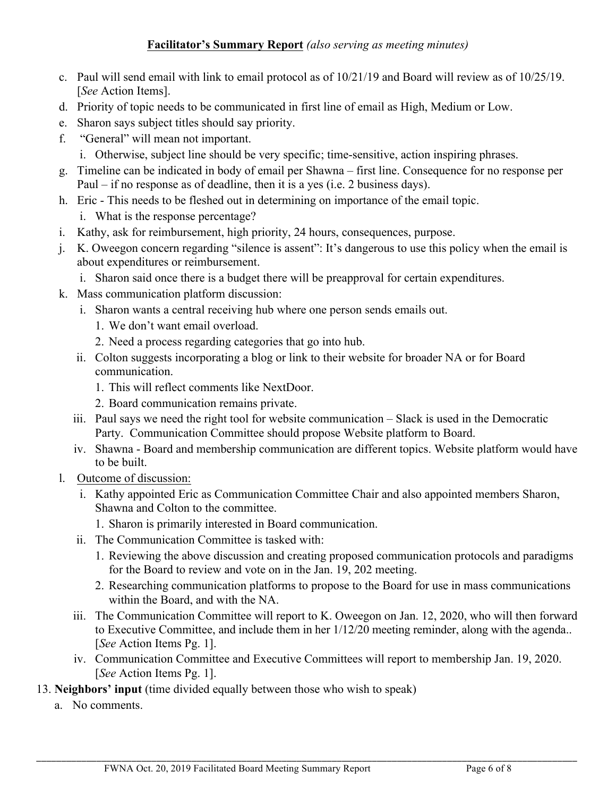- c. Paul will send email with link to email protocol as of 10/21/19 and Board will review as of 10/25/19. [*See* Action Items].
- d. Priority of topic needs to be communicated in first line of email as High, Medium or Low.
- e. Sharon says subject titles should say priority.
- f. "General" will mean not important.
	- i. Otherwise, subject line should be very specific; time-sensitive, action inspiring phrases.
- g. Timeline can be indicated in body of email per Shawna first line. Consequence for no response per Paul – if no response as of deadline, then it is a yes (i.e. 2 business days).
- h. Eric This needs to be fleshed out in determining on importance of the email topic.
	- i. What is the response percentage?
- i. Kathy, ask for reimbursement, high priority, 24 hours, consequences, purpose.
- j. K. Oweegon concern regarding "silence is assent": It's dangerous to use this policy when the email is about expenditures or reimbursement.
	- i. Sharon said once there is a budget there will be preapproval for certain expenditures.
- k. Mass communication platform discussion:
	- i. Sharon wants a central receiving hub where one person sends emails out.
		- 1. We don't want email overload.
		- 2. Need a process regarding categories that go into hub.
	- ii. Colton suggests incorporating a blog or link to their website for broader NA or for Board communication.
		- 1. This will reflect comments like NextDoor.
		- 2. Board communication remains private.
	- iii. Paul says we need the right tool for website communication Slack is used in the Democratic Party. Communication Committee should propose Website platform to Board.
	- iv. Shawna Board and membership communication are different topics. Website platform would have to be built.
- l. Outcome of discussion:
	- i. Kathy appointed Eric as Communication Committee Chair and also appointed members Sharon, Shawna and Colton to the committee.
		- 1. Sharon is primarily interested in Board communication.
	- ii. The Communication Committee is tasked with:
		- 1. Reviewing the above discussion and creating proposed communication protocols and paradigms for the Board to review and vote on in the Jan. 19, 202 meeting.
		- 2. Researching communication platforms to propose to the Board for use in mass communications within the Board, and with the NA.
	- iii. The Communication Committee will report to K. Oweegon on Jan. 12, 2020, who will then forward to Executive Committee, and include them in her 1/12/20 meeting reminder, along with the agenda.. [*See* Action Items Pg. 1].
	- iv. Communication Committee and Executive Committees will report to membership Jan. 19, 2020. [*See* Action Items Pg. 1].

- 13. **Neighbors' input** (time divided equally between those who wish to speak)
	- a. No comments.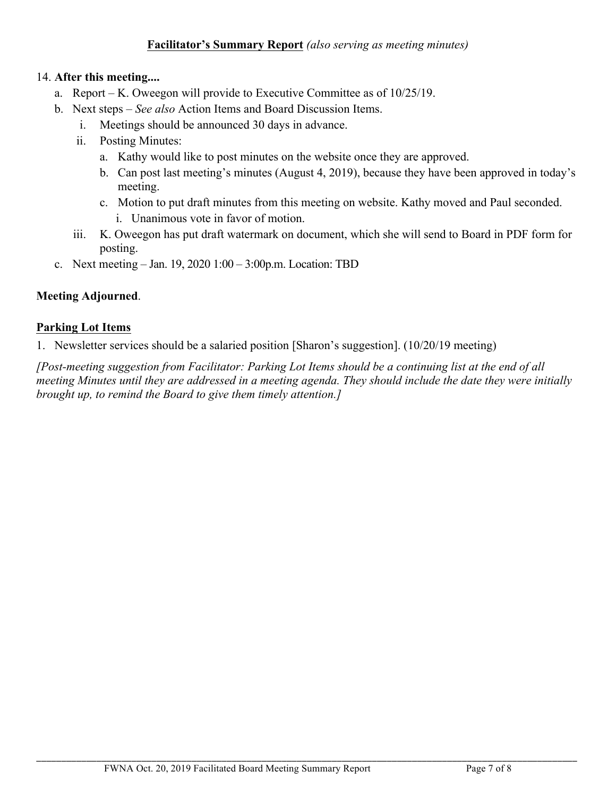#### 14. **After this meeting....**

- a. Report K. Oweegon will provide to Executive Committee as of 10/25/19.
- b. Next steps *See also* Action Items and Board Discussion Items.
	- i. Meetings should be announced 30 days in advance.
	- ii. Posting Minutes:
		- a. Kathy would like to post minutes on the website once they are approved.
		- b. Can post last meeting's minutes (August 4, 2019), because they have been approved in today's meeting.
		- c. Motion to put draft minutes from this meeting on website. Kathy moved and Paul seconded. i. Unanimous vote in favor of motion.
	- iii. K. Oweegon has put draft watermark on document, which she will send to Board in PDF form for posting.
- c. Next meeting Jan. 19, 2020 1:00 3:00p.m. Location: TBD

### **Meeting Adjourned**.

### **Parking Lot Items**

1. Newsletter services should be a salaried position [Sharon's suggestion]. (10/20/19 meeting)

*[Post-meeting suggestion from Facilitator: Parking Lot Items should be a continuing list at the end of all meeting Minutes until they are addressed in a meeting agenda. They should include the date they were initially brought up, to remind the Board to give them timely attention.]*